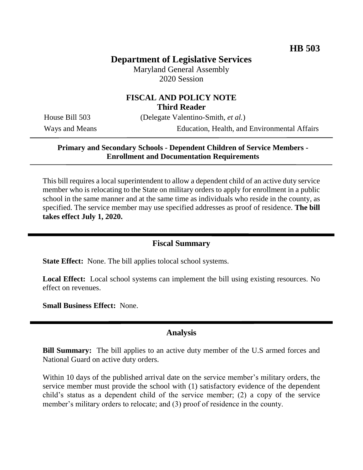# **Department of Legislative Services**

Maryland General Assembly 2020 Session

## **FISCAL AND POLICY NOTE Third Reader**

House Bill 503 (Delegate Valentino-Smith, *et al.*)

Ways and Means Education, Health, and Environmental Affairs

## **Primary and Secondary Schools - Dependent Children of Service Members - Enrollment and Documentation Requirements**

This bill requires a local superintendent to allow a dependent child of an active duty service member who is relocating to the State on military orders to apply for enrollment in a public school in the same manner and at the same time as individuals who reside in the county, as specified. The service member may use specified addresses as proof of residence. **The bill takes effect July 1, 2020.**

### **Fiscal Summary**

**State Effect:** None. The bill applies tolocal school systems.

**Local Effect:** Local school systems can implement the bill using existing resources. No effect on revenues.

**Small Business Effect:** None.

#### **Analysis**

**Bill Summary:** The bill applies to an active duty member of the U.S armed forces and National Guard on active duty orders.

Within 10 days of the published arrival date on the service member's military orders, the service member must provide the school with (1) satisfactory evidence of the dependent child's status as a dependent child of the service member; (2) a copy of the service member's military orders to relocate; and (3) proof of residence in the county.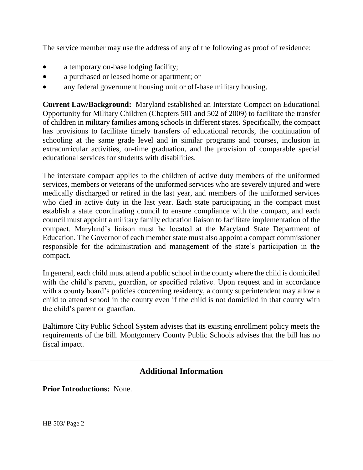The service member may use the address of any of the following as proof of residence:

- a temporary on-base lodging facility;
- a purchased or leased home or apartment; or
- any federal government housing unit or off-base military housing.

**Current Law/Background:** Maryland established an Interstate Compact on Educational Opportunity for Military Children (Chapters 501 and 502 of 2009) to facilitate the transfer of children in military families among schools in different states. Specifically, the compact has provisions to facilitate timely transfers of educational records, the continuation of schooling at the same grade level and in similar programs and courses, inclusion in extracurricular activities, on-time graduation, and the provision of comparable special educational services for students with disabilities.

The interstate compact applies to the children of active duty members of the uniformed services, members or veterans of the uniformed services who are severely injured and were medically discharged or retired in the last year, and members of the uniformed services who died in active duty in the last year. Each state participating in the compact must establish a state coordinating council to ensure compliance with the compact, and each council must appoint a military family education liaison to facilitate implementation of the compact. Maryland's liaison must be located at the Maryland State Department of Education. The Governor of each member state must also appoint a compact commissioner responsible for the administration and management of the state's participation in the compact.

In general, each child must attend a public school in the county where the child is domiciled with the child's parent, guardian, or specified relative. Upon request and in accordance with a county board's policies concerning residency, a county superintendent may allow a child to attend school in the county even if the child is not domiciled in that county with the child's parent or guardian.

Baltimore City Public School System advises that its existing enrollment policy meets the requirements of the bill. Montgomery County Public Schools advises that the bill has no fiscal impact.

# **Additional Information**

**Prior Introductions:** None.